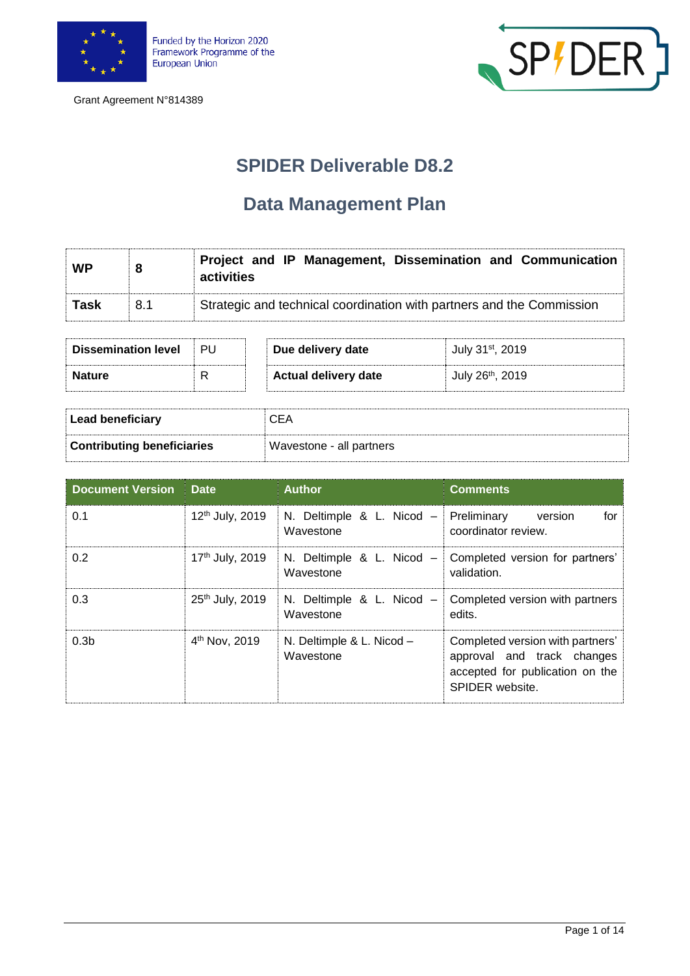





## **SPIDER Deliverable D8.2**

## **Data Management Plan**

| <b>WP</b>   | 8   | Project and IP Management, Dissemination and Communication<br>activities |
|-------------|-----|--------------------------------------------------------------------------|
| <b>Task</b> | 8.1 | Strategic and technical coordination with partners and the Commission    |

| <b>Dissemination level</b> | PU | Due delivery date           | July 31 <sup>st</sup> , 2019 |
|----------------------------|----|-----------------------------|------------------------------|
| <b>Nature</b>              | R  | <b>Actual delivery date</b> | July 26 <sup>th</sup> , 2019 |
|                            |    |                             |                              |

| <b>Lead beneficiary</b>           | ርEA                      |
|-----------------------------------|--------------------------|
| <b>Contributing beneficiaries</b> | Wavestone - all partners |

| <b>Document Version</b> | <b>Date</b>                 | <b>Author</b>                          | <b>Comments</b>                                                                                                      |
|-------------------------|-----------------------------|----------------------------------------|----------------------------------------------------------------------------------------------------------------------|
| 0.1                     | 12 <sup>th</sup> July, 2019 | N. Deltimple & L. Nicod -<br>Wavestone | Preliminary<br>for<br>version<br>coordinator review.                                                                 |
| 0.2                     | 17th July, 2019             | N. Deltimple & L. Nicod -<br>Wavestone | Completed version for partners'<br>validation.                                                                       |
| 0.3                     | 25th July, 2019             | N. Deltimple & L. Nicod -<br>Wavestone | Completed version with partners<br>edits.                                                                            |
| 0.3 <sub>b</sub>        | 4 <sup>th</sup> Nov, 2019   | N. Deltimple & L. Nicod -<br>Wavestone | Completed version with partners'<br>approval and track changes<br>accepted for publication on the<br>SPIDER website. |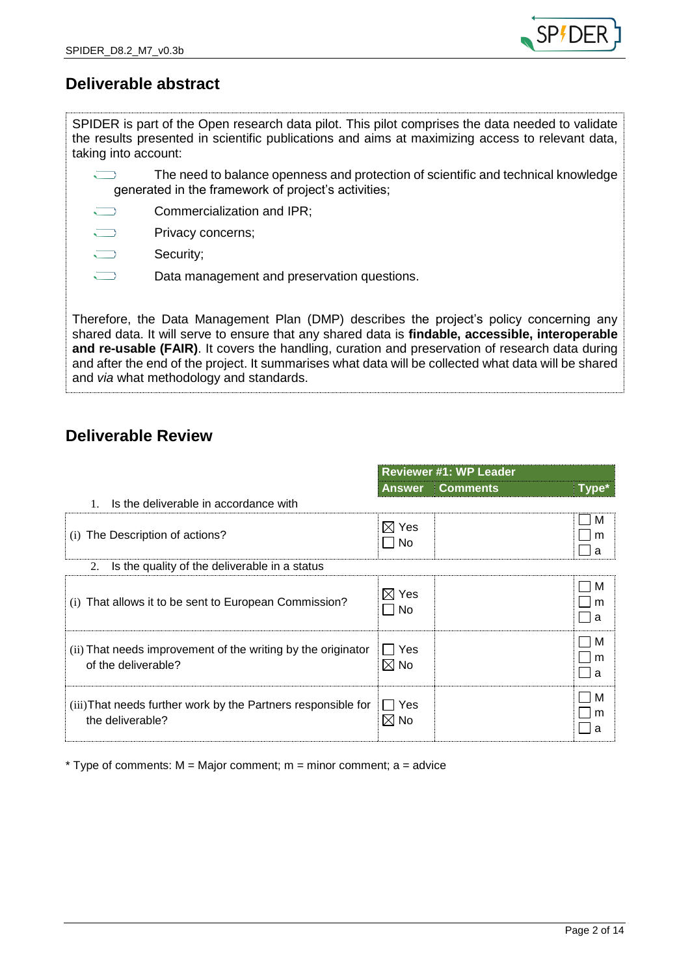

### **Deliverable abstract**

SPIDER is part of the Open research data pilot. This pilot comprises the data needed to validate the results presented in scientific publications and aims at maximizing access to relevant data, taking into account:

 $\sum$ The need to balance openness and protection of scientific and technical knowledge generated in the framework of project's activities;

- $\sum$ Commercialization and IPR;
- $\overline{\phantom{0}}$ Privacy concerns;
- $\overline{\phantom{0}}$ Security;
	- Data management and preservation questions.

Therefore, the Data Management Plan (DMP) describes the project's policy concerning any shared data. It will serve to ensure that any shared data is **findable, accessible, interoperable and re-usable (FAIR)**. It covers the handling, curation and preservation of research data during and after the end of the project. It summarises what data will be collected what data will be shared and *via* what methodology and standards.

### **Deliverable Review**

|                                                                                     | <b>Reviewer #1: WP Leader</b> |                 |             |
|-------------------------------------------------------------------------------------|-------------------------------|-----------------|-------------|
|                                                                                     | <b>Answer</b>                 | <b>Comments</b> | $Type*$     |
| Is the deliverable in accordance with<br>$\mathbf{1}$ .                             |                               |                 |             |
| (i) The Description of actions?                                                     | $\boxtimes$ Yes<br>∣ No       |                 | M<br>m<br>a |
| Is the quality of the deliverable in a status<br>2.                                 |                               |                 |             |
| (i) That allows it to be sent to European Commission?                               | $\boxtimes$ Yes<br>∣ No       |                 | М<br>m<br>a |
| (ii) That needs improvement of the writing by the originator<br>of the deliverable? | ∏ Yes<br>$\boxtimes$ No       |                 | M<br>m<br>a |
| (iii) That needs further work by the Partners responsible for<br>the deliverable?   | ∐ Yes<br>$\boxtimes$ No       |                 | М<br>m<br>a |

 $*$  Type of comments:  $M =$  Major comment;  $m =$  minor comment; a = advice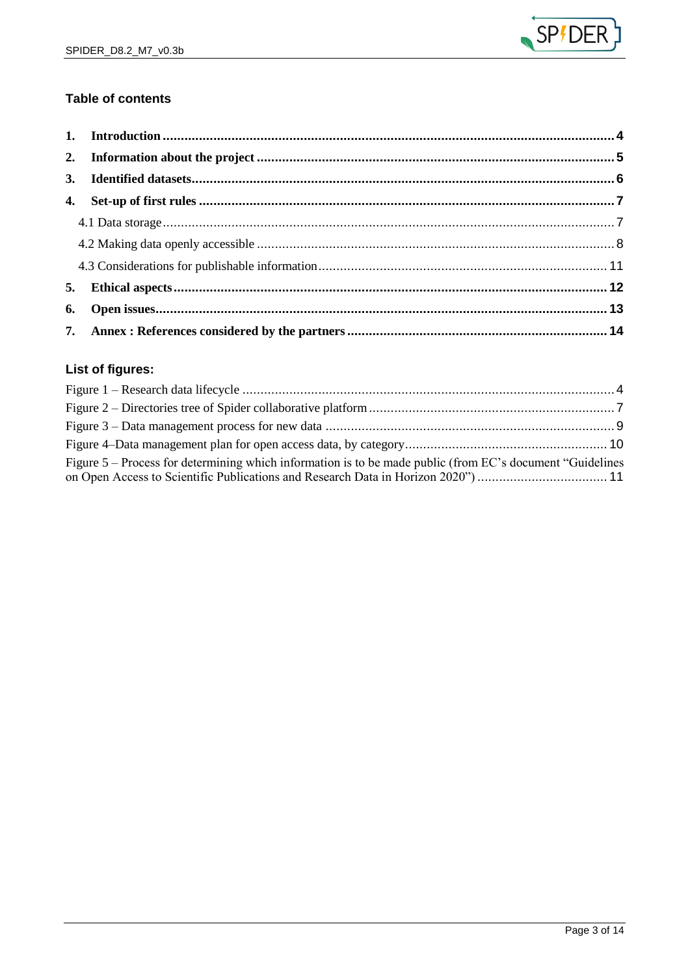

### Table of contents

### List of figures:

| Figure 5 – Process for determining which information is to be made public (from EC's document "Guidelines") |  |
|-------------------------------------------------------------------------------------------------------------|--|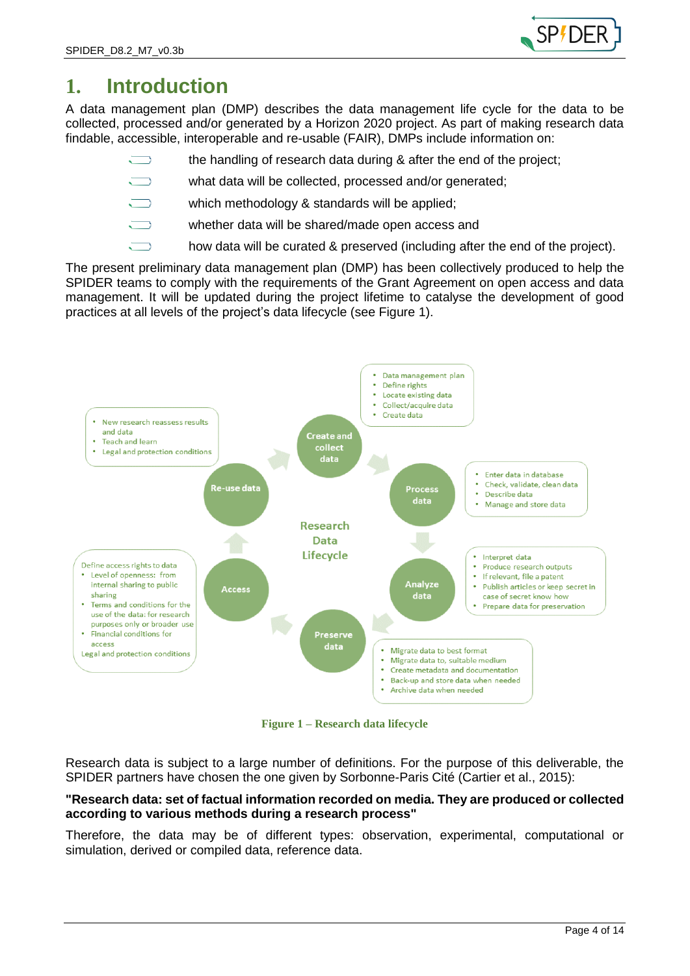

### <span id="page-3-0"></span>**1. Introduction**

A data management plan (DMP) describes the data management life cycle for the data to be collected, processed and/or generated by a Horizon 2020 project. As part of making research data findable, accessible, interoperable and re-usable (FAIR), DMPs include information on:

- the handling of research data during & after the end of the project;
- what data will be collected, processed and/or generated;
- which methodology & standards will be applied;
- whether data will be shared/made open access and
	- how data will be curated & preserved (including after the end of the project).

The present preliminary data management plan (DMP) has been collectively produced to help the SPIDER teams to comply with the requirements of the Grant Agreement on open access and data management. It will be updated during the project lifetime to catalyse the development of good practices at all levels of the project's data lifecycle (see [Figure 1\)](#page-3-1).



**Figure 1 – Research data lifecycle**

<span id="page-3-1"></span>Research data is subject to a large number of definitions. For the purpose of this deliverable, the SPIDER partners have chosen the one given by Sorbonne-Paris Cité (Cartier et al., 2015):

#### **"Research data: set of factual information recorded on media. They are produced or collected according to various methods during a research process"**

Therefore, the data may be of different types: observation, experimental, computational or simulation, derived or compiled data, reference data.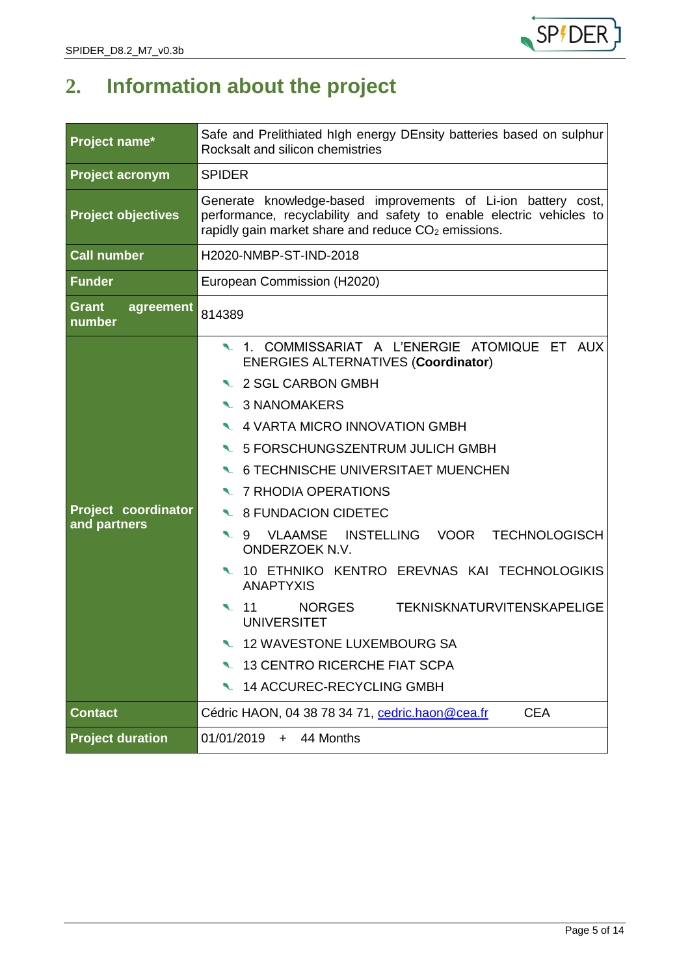

# <span id="page-4-0"></span>**2. Information about the project**

| Project name*                       | Safe and Prelithiated high energy DEnsity batteries based on sulphur<br>Rocksalt and silicon chemistries                                                                                                                                                                                                                                                                                                                                                                                                                                                                                                                                                      |  |  |
|-------------------------------------|---------------------------------------------------------------------------------------------------------------------------------------------------------------------------------------------------------------------------------------------------------------------------------------------------------------------------------------------------------------------------------------------------------------------------------------------------------------------------------------------------------------------------------------------------------------------------------------------------------------------------------------------------------------|--|--|
| <b>Project acronym</b>              | <b>SPIDER</b>                                                                                                                                                                                                                                                                                                                                                                                                                                                                                                                                                                                                                                                 |  |  |
| <b>Project objectives</b>           | Generate knowledge-based improvements of Li-ion battery cost,<br>performance, recyclability and safety to enable electric vehicles to<br>rapidly gain market share and reduce $CO2$ emissions.                                                                                                                                                                                                                                                                                                                                                                                                                                                                |  |  |
| <b>Call number</b>                  | H2020-NMBP-ST-IND-2018                                                                                                                                                                                                                                                                                                                                                                                                                                                                                                                                                                                                                                        |  |  |
| <b>Funder</b>                       | European Commission (H2020)                                                                                                                                                                                                                                                                                                                                                                                                                                                                                                                                                                                                                                   |  |  |
| <b>Grant</b><br>agreement<br>number | 814389                                                                                                                                                                                                                                                                                                                                                                                                                                                                                                                                                                                                                                                        |  |  |
| Project coordinator<br>and partners | 1. COMMISSARIAT A L'ENERGIE ATOMIQUE ET AUX<br><b>ENERGIES ALTERNATIVES (Coordinator)</b><br>● 2 SGL CARBON GMBH<br>● 3 NANOMAKERS<br>L 4 VARTA MICRO INNOVATION GMBH<br>L 5 FORSCHUNGSZENTRUM JULICH GMBH<br>G TECHNISCHE UNIVERSITAET MUENCHEN<br>● 7 RHODIA OPERATIONS<br>S FUNDACION CIDETEC<br>VLAAMSE INSTELLING VOOR TECHNOLOGISCH<br>$\sim$ 9<br>ONDERZOEK N.V.<br>10 ETHNIKO KENTRO EREVNAS KAI TECHNOLOGIKIS<br><b>ANAPTYXIS</b><br><b>NORGES</b><br><b>TEKNISKNATURVITENSKAPELIGE</b><br>◥ 11<br><b>UNIVERSITET</b><br>12 WAVESTONE LUXEMBOURG SA<br><b>13 CENTRO RICERCHE FIAT SCPA</b><br>$\mathcal{L}$<br><b>14 ACCUREC-RECYCLING GMBH</b><br>◥ |  |  |
| <b>Contact</b>                      | Cédric HAON, 04 38 78 34 71, cedric.haon@cea.fr<br><b>CEA</b>                                                                                                                                                                                                                                                                                                                                                                                                                                                                                                                                                                                                 |  |  |
| <b>Project duration</b>             | 01/01/2019<br>44 Months<br>$+$                                                                                                                                                                                                                                                                                                                                                                                                                                                                                                                                                                                                                                |  |  |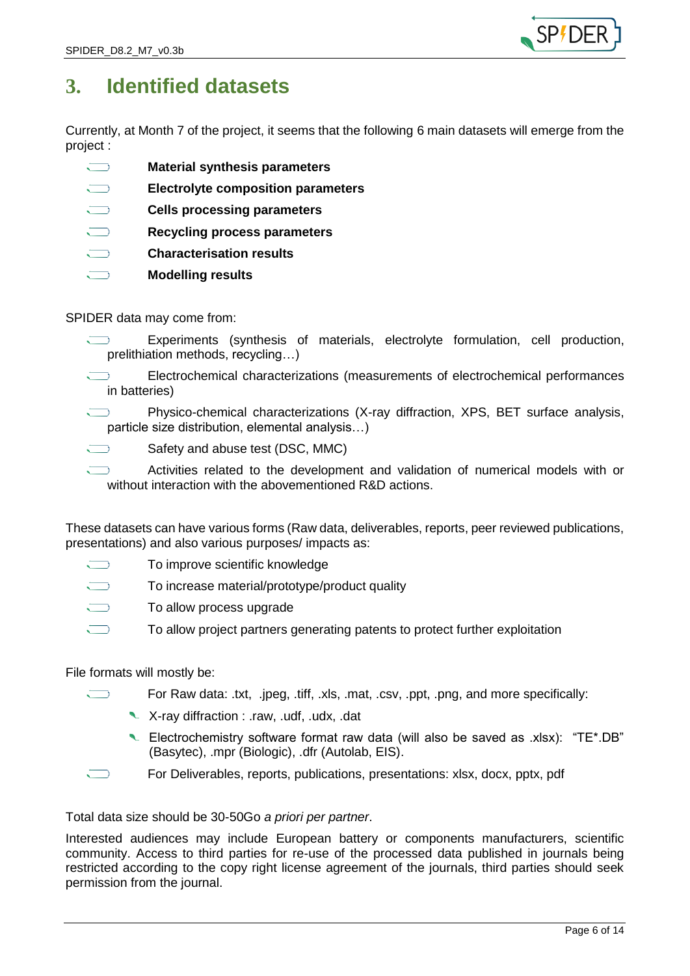

## <span id="page-5-0"></span>**3. Identified datasets**

Currently, at Month 7 of the project, it seems that the following 6 main datasets will emerge from the project :

- $\sum$ **Material synthesis parameters**
- $\overline{\phantom{0}}$ **Electrolyte composition parameters**
- **Cells processing parameters**
- $\overline{\phantom{0}}$ **Recycling process parameters**
- $\overline{\phantom{0}}$ **Characterisation results**
- **Modelling results**

#### SPIDER data may come from:

- Experiments (synthesis of materials, electrolyte formulation, cell production,  $\sqrt{ }$ prelithiation methods, recycling…)
- $\overline{\phantom{a}}$ Electrochemical characterizations (measurements of electrochemical performances in batteries)
- Physico-chemical characterizations (X-ray diffraction, XPS, BET surface analysis, particle size distribution, elemental analysis…)
- $\sum$ Safety and abuse test (DSC, MMC)
- Activities related to the development and validation of numerical models with or without interaction with the abovementioned R&D actions.

These datasets can have various forms (Raw data, deliverables, reports, peer reviewed publications, presentations) and also various purposes/ impacts as:

- $\overline{\phantom{0}}$ To improve scientific knowledge
- To increase material/prototype/product quality
- $\bigcup$ To allow process upgrade
- $\overline{\phantom{0}}$ To allow project partners generating patents to protect further exploitation

#### File formats will mostly be:

- For Raw data: .txt, .jpeg, .tiff, .xls, .mat, .csv, .ppt, .png, and more specifically:
	- X-ray diffraction : .raw, .udf, .udx, .dat
	- Lectrochemistry software format raw data (will also be saved as .xlsx): "TE\*.DB" (Basytec), .mpr (Biologic), .dfr (Autolab, EIS).
- For Deliverables, reports, publications, presentations: xlsx, docx, pptx, pdf

Total data size should be 30-50Go *a priori per partner*.

Interested audiences may include European battery or components manufacturers, scientific community. Access to third parties for re-use of the processed data published in journals being restricted according to the copy right license agreement of the journals, third parties should seek permission from the journal.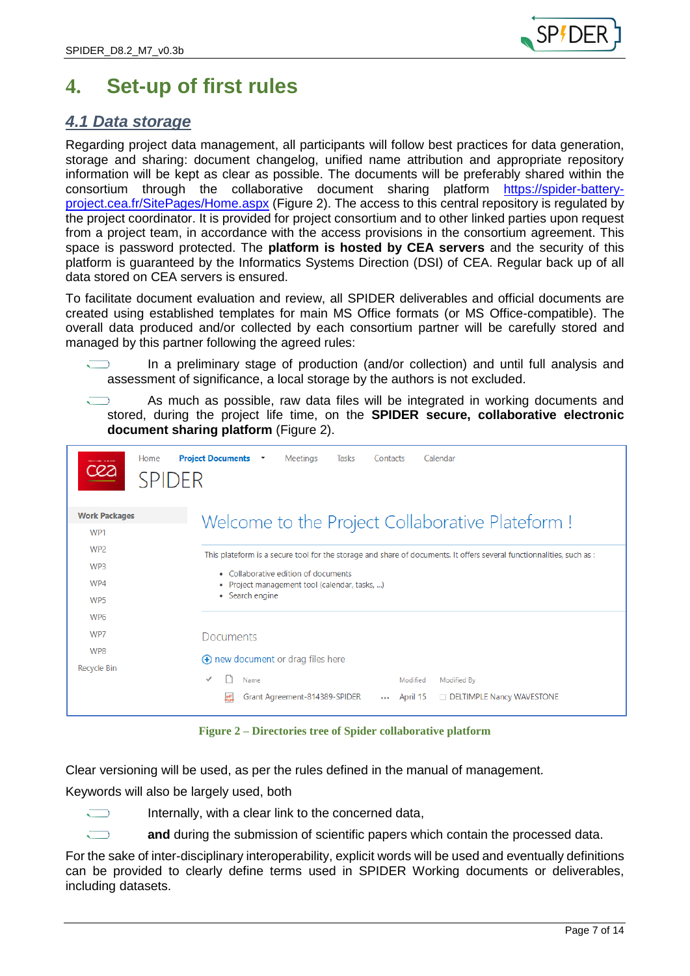

## <span id="page-6-0"></span>**4. Set-up of first rules**

### <span id="page-6-1"></span>*4.1 Data storage*

Regarding project data management, all participants will follow best practices for data generation, storage and sharing: document changelog, unified name attribution and appropriate repository information will be kept as clear as possible. The documents will be preferably shared within the consortium through the collaborative document sharing platform [https://spider-battery](https://spider-battery-project.cea.fr/SitePages/Home.aspx)[project.cea.fr/SitePages/Home.aspx](https://spider-battery-project.cea.fr/SitePages/Home.aspx) [\(Figure 2\)](#page-6-2). The access to this central repository is regulated by the project coordinator. It is provided for project consortium and to other linked parties upon request from a project team, in accordance with the access provisions in the consortium agreement. This space is password protected. The **platform is hosted by CEA servers** and the security of this platform is guaranteed by the Informatics Systems Direction (DSI) of CEA. Regular back up of all data stored on CEA servers is ensured.

To facilitate document evaluation and review, all SPIDER deliverables and official documents are created using established templates for main MS Office formats (or MS Office-compatible). The overall data produced and/or collected by each consortium partner will be carefully stored and managed by this partner following the agreed rules:

In a preliminary stage of production (and/or collection) and until full analysis and assessment of significance, a local storage by the authors is not excluded.

As much as possible, raw data files will be integrated in working documents and stored, during the project life time, on the **SPIDER secure, collaborative electronic document sharing platform** [\(Figure 2\)](#page-6-2).

| Home<br>cea<br><b>SPIDER</b> | <b>Project Documents *</b><br>Meetings<br>Calendar<br>Tasks<br>Contacts                                               |  |
|------------------------------|-----------------------------------------------------------------------------------------------------------------------|--|
| <b>Work Packages</b>         | Welcome to the Project Collaborative Plateform !                                                                      |  |
| WP <sub>1</sub>              |                                                                                                                       |  |
| WP <sub>2</sub>              | This plateform is a secure tool for the storage and share of documents. It offers several functionnalities, such as : |  |
| WP <sub>3</sub>              | • Collaborative edition of documents                                                                                  |  |
| WP4                          | Project management tool (calendar, tasks, )                                                                           |  |
| WP <sub>5</sub>              | • Search engine                                                                                                       |  |
| WP <sub>6</sub>              |                                                                                                                       |  |
| WP7                          | <b>Documents</b>                                                                                                      |  |
| WP8                          | ⊕ new document or drag files here                                                                                     |  |
| <b>Recycle Bin</b>           |                                                                                                                       |  |
|                              | Name<br>Modified<br>Modified By                                                                                       |  |
|                              | Grant Agreement-814389-SPIDER<br><b>DELTIMPLE Nancy WAVESTONE</b><br>April 15<br>$\cdots$                             |  |

**Figure 2 – Directories tree of Spider collaborative platform**

<span id="page-6-2"></span>Clear versioning will be used, as per the rules defined in the manual of management.

Keywords will also be largely used, both



Internally, with a clear link to the concerned data,

**and** during the submission of scientific papers which contain the processed data.

For the sake of inter-disciplinary interoperability, explicit words will be used and eventually definitions can be provided to clearly define terms used in SPIDER Working documents or deliverables, including datasets.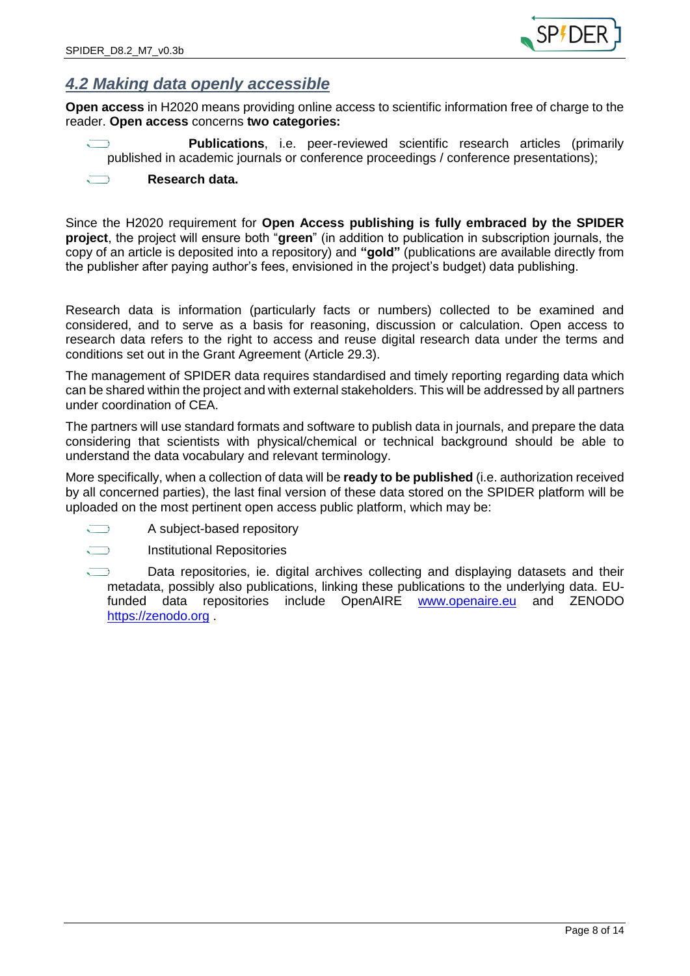

### <span id="page-7-0"></span>*4.2 Making data openly accessible*

**Open access** in H2020 means providing online access to scientific information free of charge to the reader. **Open access** concerns **two categories:**

**Publications**, i.e. peer-reviewed scientific research articles (primarily published in academic journals or conference proceedings / conference presentations);

#### **Research data.**

Since the H2020 requirement for **Open Access publishing is fully embraced by the SPIDER project**, the project will ensure both "**green**" (in addition to publication in subscription journals, the copy of an article is deposited into a repository) and **"gold"** (publications are available directly from the publisher after paying author's fees, envisioned in the project's budget) data publishing.

Research data is information (particularly facts or numbers) collected to be examined and considered, and to serve as a basis for reasoning, discussion or calculation. Open access to research data refers to the right to access and reuse digital research data under the terms and conditions set out in the Grant Agreement (Article 29.3).

The management of SPIDER data requires standardised and timely reporting regarding data which can be shared within the project and with external stakeholders. This will be addressed by all partners under coordination of CEA.

The partners will use standard formats and software to publish data in journals, and prepare the data considering that scientists with physical/chemical or technical background should be able to understand the data vocabulary and relevant terminology.

More specifically, when a collection of data will be **ready to be published** (i.e. authorization received by all concerned parties), the last final version of these data stored on the SPIDER platform will be uploaded on the most pertinent open access public platform, which may be:

 $\sqrt{2}$ A subject-based repository



Institutional Repositories

Data repositories, ie. digital archives collecting and displaying datasets and their metadata, possibly also publications, linking these publications to the underlying data. EUfunded data repositories include OpenAIRE [www.openaire.eu](http://www.openaire.eu/) and ZENODO [https://zenodo.org](https://zenodo.org/) .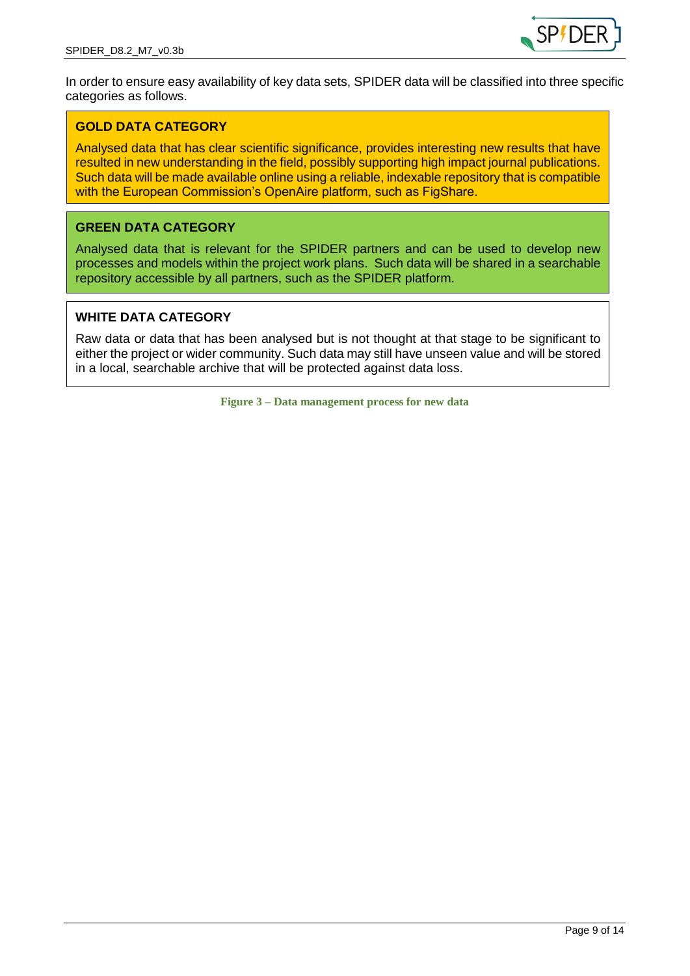

In order to ensure easy availability of key data sets, SPIDER data will be classified into three specific categories as follows.

#### **GOLD DATA CATEGORY**

Analysed data that has clear scientific significance, provides interesting new results that have resulted in new understanding in the field, possibly supporting high impact journal publications. Such data will be made available online using a reliable, indexable repository that is compatible with the European Commission's OpenAire platform, such as FigShare.

#### **GREEN DATA CATEGORY**

Analysed data that is relevant for the SPIDER partners and can be used to develop new processes and models within the project work plans. Such data will be shared in a searchable repository accessible by all partners, such as the SPIDER platform.

#### **WHITE DATA CATEGORY**

<span id="page-8-0"></span>Raw data or data that has been analysed but is not thought at that stage to be significant to either the project or wider community. Such data may still have unseen value and will be stored in a local, searchable archive that will be protected against data loss.

**Figure 3 – Data management process for new data**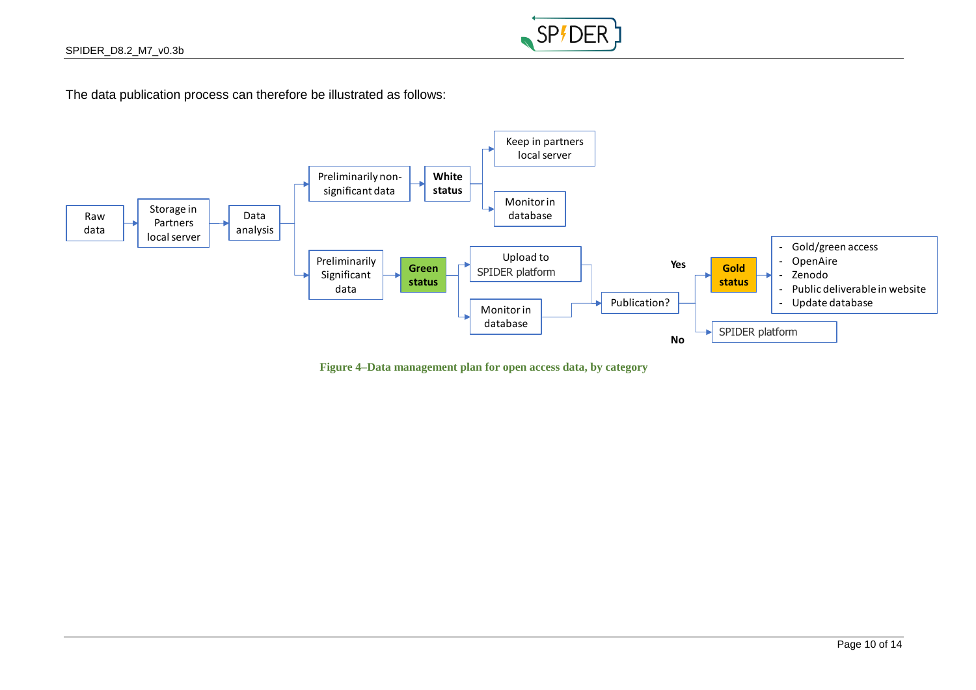

The data publication process can therefore be illustrated as follows:



<span id="page-9-0"></span>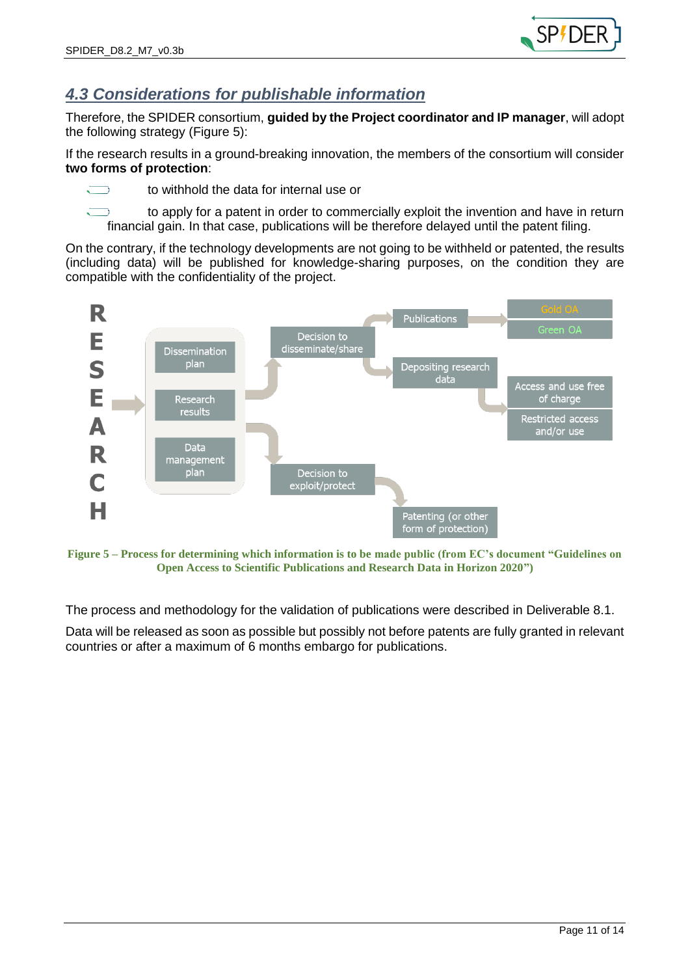### <span id="page-10-0"></span>*4.3 Considerations for publishable information*

Therefore, the SPIDER consortium, **guided by the Project coordinator and IP manager**, will adopt the following strategy [\(Figure 5\)](#page-10-1):

If the research results in a ground-breaking innovation, the members of the consortium will consider **two forms of protection**:



to withhold the data for internal use or

to apply for a patent in order to commercially exploit the invention and have in return financial gain. In that case, publications will be therefore delayed until the patent filing.

On the contrary, if the technology developments are not going to be withheld or patented, the results (including data) will be published for knowledge-sharing purposes, on the condition they are compatible with the confidentiality of the project.



<span id="page-10-1"></span>**Figure 5 – Process for determining which information is to be made public (from EC's document "Guidelines on Open Access to Scientific Publications and Research Data in Horizon 2020")**

The process and methodology for the validation of publications were described in Deliverable 8.1.

Data will be released as soon as possible but possibly not before patents are fully granted in relevant countries or after a maximum of 6 months embargo for publications.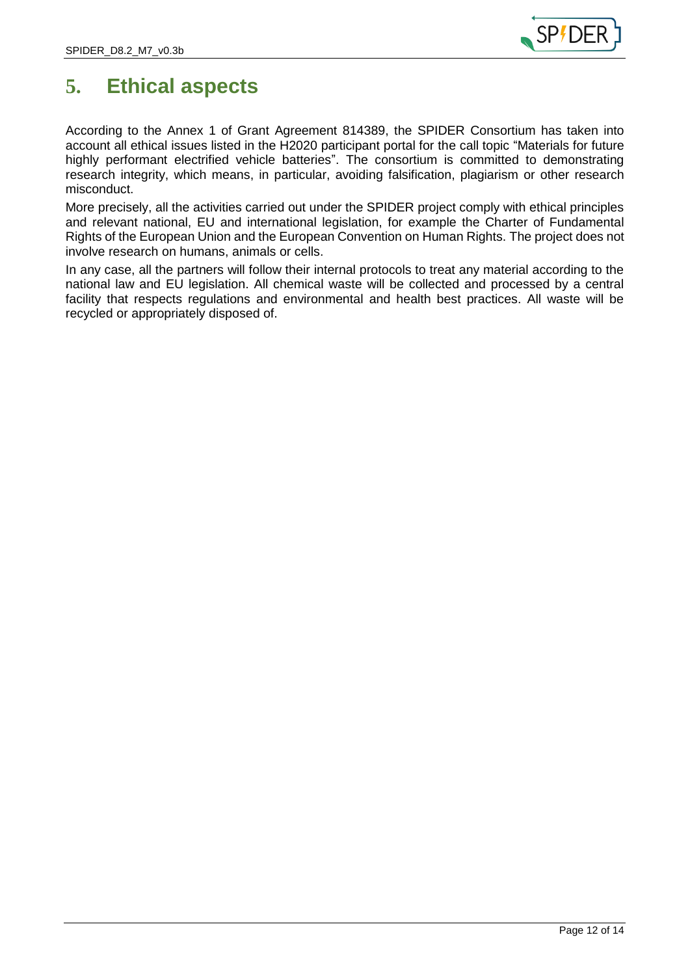

## <span id="page-11-0"></span>**5. Ethical aspects**

According to the Annex 1 of Grant Agreement 814389, the SPIDER Consortium has taken into account all ethical issues listed in the H2020 participant portal for the call topic "Materials for future highly performant electrified vehicle batteries". The consortium is committed to demonstrating research integrity, which means, in particular, avoiding falsification, plagiarism or other research misconduct.

More precisely, all the activities carried out under the SPIDER project comply with ethical principles and relevant national, EU and international legislation, for example the Charter of Fundamental Rights of the European Union and the European Convention on Human Rights. The project does not involve research on humans, animals or cells.

In any case, all the partners will follow their internal protocols to treat any material according to the national law and EU legislation. All chemical waste will be collected and processed by a central facility that respects regulations and environmental and health best practices. All waste will be recycled or appropriately disposed of.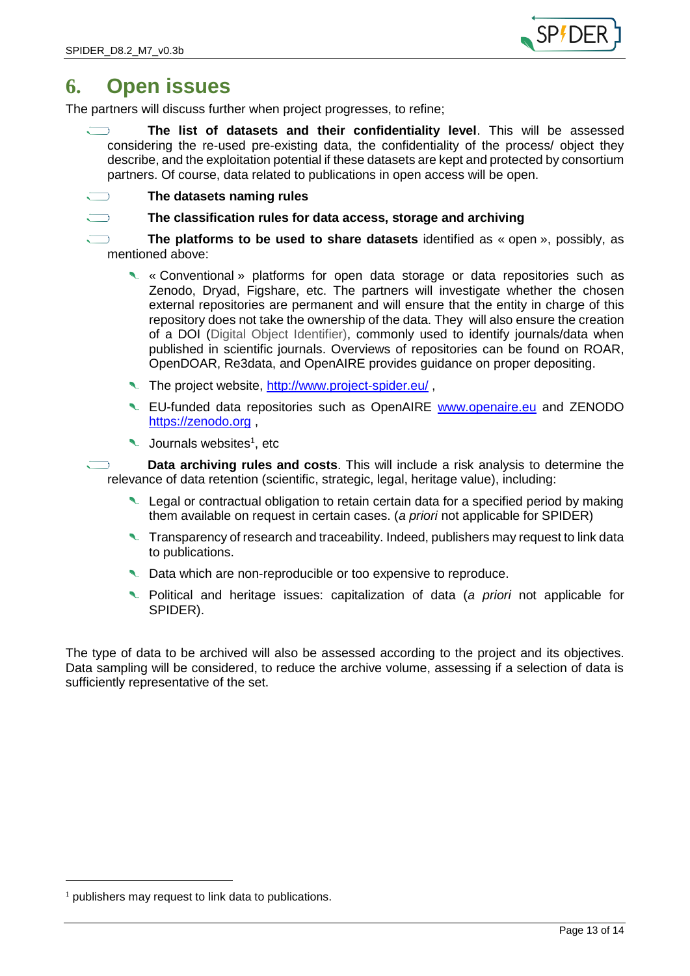

## <span id="page-12-0"></span>**6. Open issues**

The partners will discuss further when project progresses, to refine;

- **The list of datasets and their confidentiality level**. This will be assessed considering the re-used pre-existing data, the confidentiality of the process/ object they describe, and the exploitation potential if these datasets are kept and protected by consortium partners. Of course, data related to publications in open access will be open.
- **The datasets naming rules**
	- **The classification rules for data access, storage and archiving**

**The platforms to be used to share datasets** identified as « open », possibly, as mentioned above:

- « Conventional » platforms for open data storage or data repositories such as Zenodo, Dryad, Figshare, etc. The partners will investigate whether the chosen external repositories are permanent and will ensure that the entity in charge of this repository does not take the ownership of the data. They will also ensure the creation of a DOI (Digital Object Identifier), commonly used to identify journals/data when published in scientific journals. Overviews of repositories can be found on ROAR, OpenDOAR, Re3data, and OpenAIRE provides guidance on proper depositing.
- The project website,<http://www.project-spider.eu/>,
- Let-funded data repositories such as OpenAIRE [www.openaire.eu](http://www.openaire.eu/) and ZENODO [https://zenodo.org](https://zenodo.org/) ,
- Journals websites<sup>1</sup>, etc

**Data archiving rules and costs**. This will include a risk analysis to determine the relevance of data retention (scientific, strategic, legal, heritage value), including:

- Legal or contractual obligation to retain certain data for a specified period by making them available on request in certain cases. (*a priori* not applicable for SPIDER)
- Transparency of research and traceability. Indeed, publishers may request to link data to publications.
- Data which are non-reproducible or too expensive to reproduce.
- Political and heritage issues: capitalization of data (*a priori* not applicable for SPIDER).

The type of data to be archived will also be assessed according to the project and its objectives. Data sampling will be considered, to reduce the archive volume, assessing if a selection of data is sufficiently representative of the set.

-

 $<sup>1</sup>$  publishers may request to link data to publications.</sup>